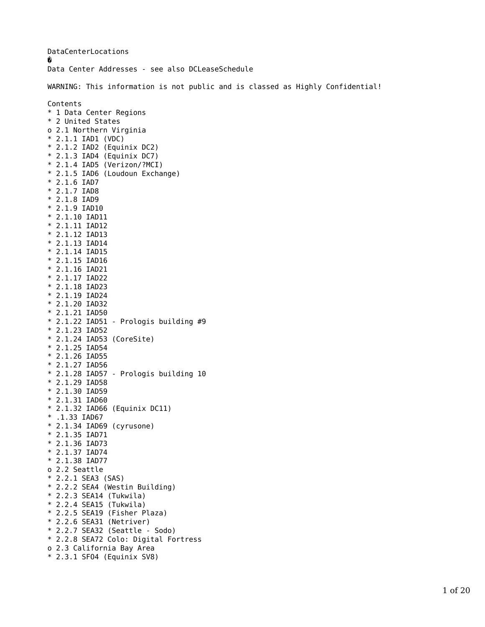DataCenterLocations � Data Center Addresses - see also DCLeaseSchedule WARNING: This information is not public and is classed as Highly Confidential! Contents \* 1 Data Center Regions \* 2 United States o 2.1 Northern Virginia \* 2.1.1 IAD1 (VDC) \* 2.1.2 IAD2 (Equinix DC2) \* 2.1.3 IAD4 (Equinix DC7) \* 2.1.4 IAD5 (Verizon/?MCI) \* 2.1.5 IAD6 (Loudoun Exchange) \* 2.1.6 IAD7 \* 2.1.7 IAD8 \* 2.1.8 IAD9 \* 2.1.9 IAD10 \* 2.1.10 IAD11 \* 2.1.11 IAD12 \* 2.1.12 IAD13 \* 2.1.13 IAD14 \* 2.1.14 IAD15 \* 2.1.15 IAD16 \* 2.1.16 IAD21 \* 2.1.17 IAD22 \* 2.1.18 IAD23 \* 2.1.19 IAD24 \* 2.1.20 IAD32 \* 2.1.21 IAD50 \* 2.1.22 IAD51 - Prologis building #9 \* 2.1.23 IAD52 \* 2.1.24 IAD53 (CoreSite) \* 2.1.25 IAD54 \* 2.1.26 IAD55 \* 2.1.27 IAD56 \* 2.1.28 IAD57 - Prologis building 10 \* 2.1.29 IAD58 \* 2.1.30 IAD59 \* 2.1.31 IAD60 \* 2.1.32 IAD66 (Equinix DC11) \* .1.33 IAD67 \* 2.1.34 IAD69 (cyrusone) \* 2.1.35 IAD71 \* 2.1.36 IAD73 \* 2.1.37 IAD74 \* 2.1.38 IAD77 o 2.2 Seattle \* 2.2.1 SEA3 (SAS) \* 2.2.2 SEA4 (Westin Building) \* 2.2.3 SEA14 (Tukwila) \* 2.2.4 SEA15 (Tukwila) \* 2.2.5 SEA19 (Fisher Plaza) \* 2.2.6 SEA31 (Netriver) \* 2.2.7 SEA32 (Seattle - Sodo) \* 2.2.8 SEA72 Colo: Digital Fortress o 2.3 California Bay Area \* 2.3.1 SFO4 (Equinix SV8)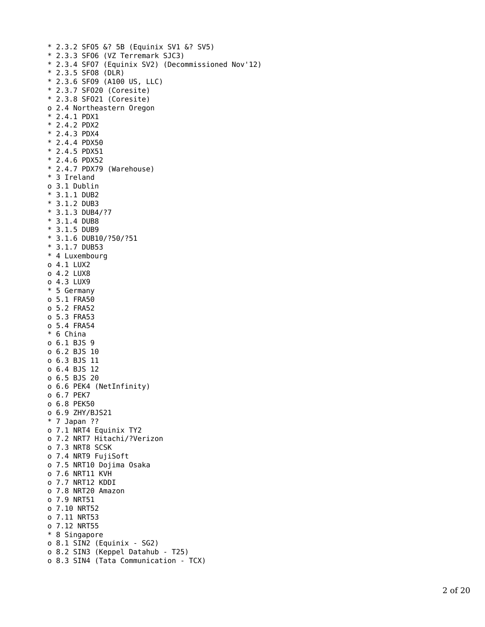```
* 2.3.2 SFO5 &? 5B (Equinix SV1 &? SV5)
* 2.3.3 SFO6 (VZ Terremark SJC3)
* 2.3.4 SFO7 (Equinix SV2) (Decommissioned Nov'12)
* 2.3.5 SFO8 (DLR)
* 2.3.6 SFO9 (A100 US, LLC)
* 2.3.7 SFO20 (Coresite)
* 2.3.8 SFO21 (Coresite)
o 2.4 Northeastern Oregon 
* 2.4.1 PDX1
* 2.4.2 PDX2
* 2.4.3 PDX4
* 2.4.4 PDX50
* 2.4.5 PDX51
* 2.4.6 PDX52
* 2.4.7 PDX79 (Warehouse)
* 3 Ireland 
o 3.1 Dublin 
* 3.1.1 DUB2
* 3.1.2 DUB3
* 3.1.3 DUB4/?7
* 3.1.4 DUB8
* 3.1.5 DUB9
* 3.1.6 DUB10/?50/?51
* 3.1.7 DUB53
* 4 Luxembourg 
o 4.1 LUX2
o 4.2 LUX8
o 4.3 LUX9
* 5 Germany 
o 5.1 FRA50
o 5.2 FRA52
o 5.3 FRA53
o 5.4 FRA54
* 6 China 
o 6.1 BJS 9
o 6.2 BJS 10
o 6.3 BJS 11
o 6.4 BJS 12
o 6.5 BJS 20
o 6.6 PEK4 (NetInfinity)
o 6.7 PEK7
o 6.8 PEK50
o 6.9 ZHY/BJS21 
* 7 Japan ?? 
o 7.1 NRT4 Equinix TY2
o 7.2 NRT7 Hitachi/?Verizon
o 7.3 NRT8 SCSK
o 7.4 NRT9 FujiSoft
o 7.5 NRT10 Dojima Osaka
o 7.6 NRT11 KVH
o 7.7 NRT12 KDDI
o 7.8 NRT20 Amazon
o 7.9 NRT51
o 7.10 NRT52
o 7.11 NRT53
o 7.12 NRT55
* 8 Singapore 
o 8.1 SIN2 (Equinix - SG2)
o 8.2 SIN3 (Keppel Datahub - T25)
o 8.3 SIN4 (Tata Communication - TCX)
```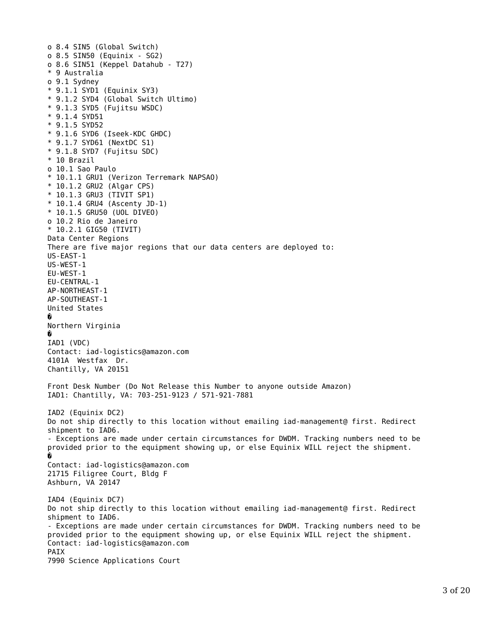```
o 8.4 SIN5 (Global Switch)
o 8.5 SIN50 (Equinix - SG2)
o 8.6 SIN51 (Keppel Datahub - T27)
* 9 Australia 
o 9.1 Sydney 
* 9.1.1 SYD1 (Equinix SY3)
* 9.1.2 SYD4 (Global Switch Ultimo)
* 9.1.3 SYD5 (Fujitsu WSDC)
* 9.1.4 SYD51
* 9.1.5 SYD52
* 9.1.6 SYD6 (Iseek-KDC GHDC)
* 9.1.7 SYD61 (NextDC S1)
* 9.1.8 SYD7 (Fujitsu SDC)
* 10 Brazil 
o 10.1 Sao Paulo 
* 10.1.1 GRU1 (Verizon Terremark NAPSAO)
* 10.1.2 GRU2 (Algar CPS)
* 10.1.3 GRU3 (TIVIT SP1)
* 10.1.4 GRU4 (Ascenty JD-1)
* 10.1.5 GRU50 (UOL DIVEO)
o 10.2 Rio de Janeiro 
* 10.2.1 GIG50 (TIVIT)
Data Center Regions 
There are five major regions that our data centers are deployed to:
US-EAST-1
US-WEST-1
EU-WEST-1
EU-CENTRAL-1
AP-NORTHEAST-1
AP-SOUTHEAST-1
United States 
�
Northern Virginia 
�
IAD1 (VDC) 
Contact: iad-logistics@amazon.com
4101A Westfax Dr.
Chantilly, VA 20151
Front Desk Number (Do Not Release this Number to anyone outside Amazon)
IAD1: Chantilly, VA: 703-251-9123 / 571-921-7881
IAD2 (Equinix DC2) 
Do not ship directly to this location without emailing iad-management@ first. Redirect 
shipment to IAD6.
- Exceptions are made under certain circumstances for DWDM. Tracking numbers need to be 
provided prior to the equipment showing up, or else Equinix WILL reject the shipment.
�
Contact: iad-logistics@amazon.com
21715 Filigree Court, Bldg F
Ashburn, VA 20147
IAD4 (Equinix DC7) 
Do not ship directly to this location without emailing iad-management@ first. Redirect 
shipment to IAD6.
- Exceptions are made under certain circumstances for DWDM. Tracking numbers need to be 
provided prior to the equipment showing up, or else Equinix WILL reject the shipment.
Contact: iad-logistics@amazon.com
PAIX
7990 Science Applications Court
```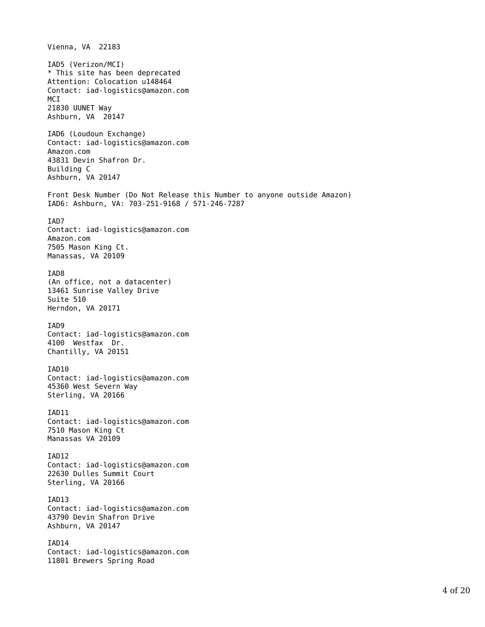Vienna, VA 22183 IAD5 (Verizon/MCI) \* This site has been deprecated Attention: Colocation u148464 Contact: iad-logistics@amazon.com M<sub>C</sub>I 21830 UUNET Way Ashburn, VA 20147 IAD6 (Loudoun Exchange) Contact: iad-logistics@amazon.com Amazon.com 43831 Devin Shafron Dr. Building C Ashburn, VA 20147 Front Desk Number (Do Not Release this Number to anyone outside Amazon) IAD6: Ashburn, VA: 703-251-9168 / 571-246-7287 IAD7 Contact: iad-logistics@amazon.com Amazon.com 7505 Mason King Ct. Manassas, VA 20109 IAD8 (An office, not a datacenter) 13461 Sunrise Valley Drive Suite 510 Herndon, VA 20171 IAD9 Contact: iad-logistics@amazon.com 4100 Westfax Dr. Chantilly, VA 20151 IAD10 Contact: iad-logistics@amazon.com 45360 West Severn Way Sterling, VA 20166 IAD11 Contact: iad-logistics@amazon.com 7510 Mason King Ct Manassas VA 20109 IAD12 Contact: iad-logistics@amazon.com 22630 Dulles Summit Court Sterling, VA 20166 IAD13 Contact: iad-logistics@amazon.com 43790 Devin Shafron Drive Ashburn, VA 20147 IAD14 Contact: iad-logistics@amazon.com 11801 Brewers Spring Road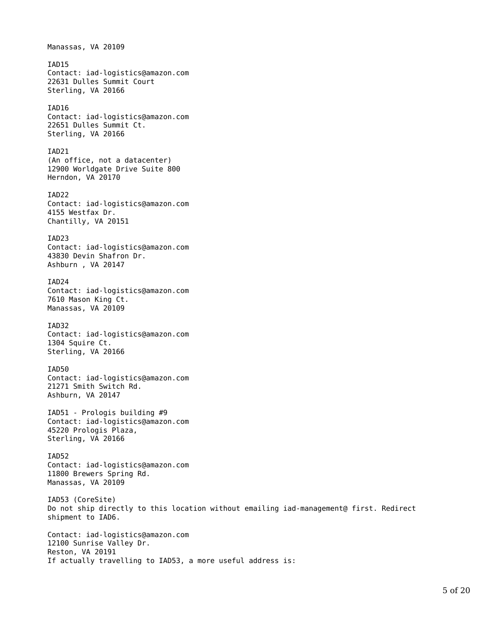Manassas, VA 20109 IAD15 Contact: iad-logistics@amazon.com 22631 Dulles Summit Court Sterling, VA 20166 IAD16 Contact: iad-logistics@amazon.com 22651 Dulles Summit Ct. Sterling, VA 20166 TAD<sub>21</sub> (An office, not a datacenter) 12900 Worldgate Drive Suite 800 Herndon, VA 20170 IAD22 Contact: iad-logistics@amazon.com 4155 Westfax Dr. Chantilly, VA 20151 IAD23 Contact: iad-logistics@amazon.com 43830 Devin Shafron Dr. Ashburn , VA 20147 IAD24 Contact: iad-logistics@amazon.com 7610 Mason King Ct. Manassas, VA 20109 IAD32 Contact: iad-logistics@amazon.com 1304 Squire Ct. Sterling, VA 20166 IAD50 Contact: iad-logistics@amazon.com 21271 Smith Switch Rd. Ashburn, VA 20147 IAD51 - Prologis building #9 Contact: iad-logistics@amazon.com 45220 Prologis Plaza, Sterling, VA 20166 IAD52 Contact: iad-logistics@amazon.com 11800 Brewers Spring Rd. Manassas, VA 20109 IAD53 (CoreSite) Do not ship directly to this location without emailing iad-management@ first. Redirect shipment to IAD6. Contact: iad-logistics@amazon.com 12100 Sunrise Valley Dr. Reston, VA 20191 If actually travelling to IAD53, a more useful address is: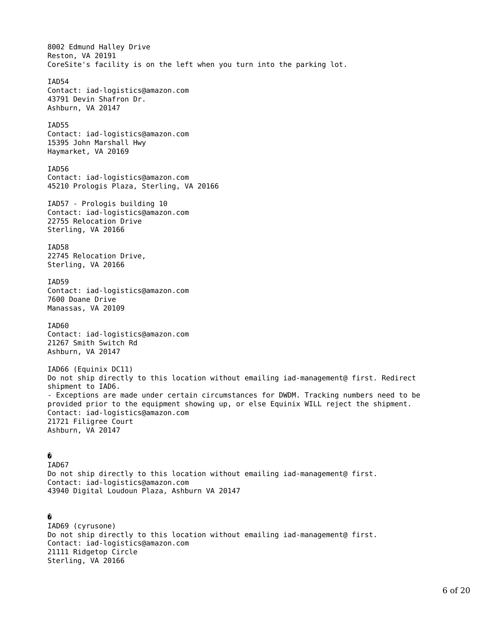8002 Edmund Halley Drive Reston, VA 20191 CoreSite's facility is on the left when you turn into the parking lot. IAD54 Contact: iad-logistics@amazon.com 43791 Devin Shafron Dr. Ashburn, VA 20147 IAD55 Contact: iad-logistics@amazon.com 15395 John Marshall Hwy Haymarket, VA 20169 IAD56 Contact: iad-logistics@amazon.com 45210 Prologis Plaza, Sterling, VA 20166 IAD57 - Prologis building 10 Contact: iad-logistics@amazon.com 22755 Relocation Drive Sterling, VA 20166 IAD58 22745 Relocation Drive, Sterling, VA 20166 IAD59 Contact: iad-logistics@amazon.com 7600 Doane Drive Manassas, VA 20109 IAD60 Contact: iad-logistics@amazon.com 21267 Smith Switch Rd Ashburn, VA 20147 IAD66 (Equinix DC11) Do not ship directly to this location without emailing iad-management@ first. Redirect shipment to IAD6. - Exceptions are made under certain circumstances for DWDM. Tracking numbers need to be provided prior to the equipment showing up, or else Equinix WILL reject the shipment. Contact: iad-logistics@amazon.com 21721 Filigree Court Ashburn, VA 20147 � IAD67 Do not ship directly to this location without emailing iad-management@ first. Contact: iad-logistics@amazon.com

## �

IAD69 (cyrusone) Do not ship directly to this location without emailing iad-management@ first. Contact: iad-logistics@amazon.com 21111 Ridgetop Circle Sterling, VA 20166

43940 Digital Loudoun Plaza, Ashburn VA 20147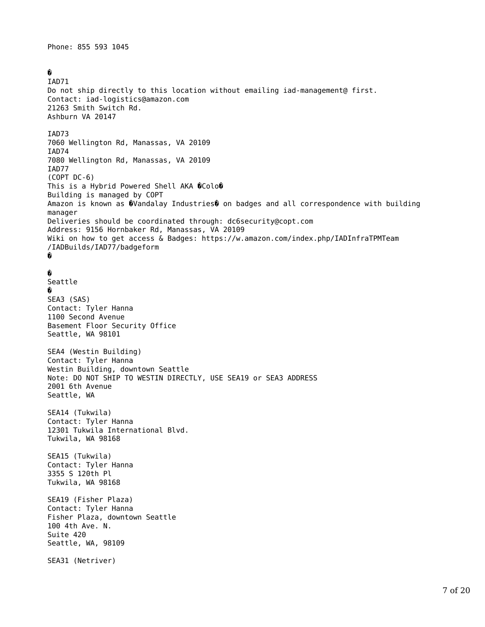Phone: 855 593 1045

�

IAD71 Do not ship directly to this location without emailing iad-management@ first. Contact: iad-logistics@amazon.com 21263 Smith Switch Rd. Ashburn VA 20147 IAD73 7060 Wellington Rd, Manassas, VA 20109 IAD74 7080 Wellington Rd, Manassas, VA 20109 IAD77 (COPT DC-6) This is a Hybrid Powered Shell AKA  $\hat{Q}$ Colo $\hat{Q}$ Building is managed by COPT Amazon is known as �Vandalay Industries� on badges and all correspondence with building manager Deliveries should be coordinated through: dc6security@copt.com Address: 9156 Hornbaker Rd, Manassas, VA 20109 Wiki on how to get access & Badges: https://w.amazon.com/index.php/IADInfraTPMTeam /IADBuilds/IAD77/badgeform � � Seattle � SEA3 (SAS) Contact: Tyler Hanna 1100 Second Avenue Basement Floor Security Office Seattle, WA 98101 SEA4 (Westin Building) Contact: Tyler Hanna Westin Building, downtown Seattle Note: DO NOT SHIP TO WESTIN DIRECTLY, USE SEA19 or SEA3 ADDRESS 2001 6th Avenue Seattle, WA SEA14 (Tukwila) Contact: Tyler Hanna 12301 Tukwila International Blvd. Tukwila, WA 98168 SEA15 (Tukwila) Contact: Tyler Hanna 3355 S 120th Pl Tukwila, WA 98168 SEA19 (Fisher Plaza) Contact: Tyler Hanna Fisher Plaza, downtown Seattle 100 4th Ave. N. Suite 420 Seattle, WA, 98109 SEA31 (Netriver)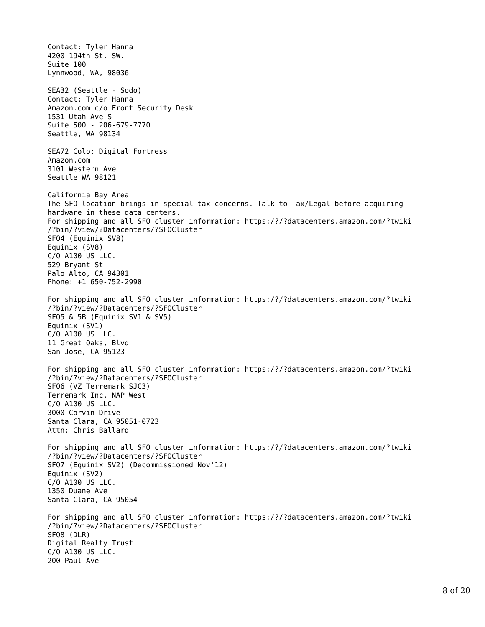Contact: Tyler Hanna 4200 194th St. SW. Suite 100 Lynnwood, WA, 98036 SEA32 (Seattle - Sodo) Contact: Tyler Hanna Amazon.com c/o Front Security Desk 1531 Utah Ave S Suite 500 - 206-679-7770 Seattle, WA 98134 SEA72 Colo: Digital Fortress Amazon.com 3101 Western Ave Seattle WA 98121 California Bay Area The SFO location brings in special tax concerns. Talk to Tax/Legal before acquiring hardware in these data centers. For shipping and all SFO cluster information: https:/?/?datacenters.amazon.com/?twiki /?bin/?view/?Datacenters/?SFOCluster SFO4 (Equinix SV8) Equinix (SV8) C/O A100 US LLC. 529 Bryant St Palo Alto, CA 94301 Phone: +1 650-752-2990 For shipping and all SFO cluster information: https:/?/?datacenters.amazon.com/?twiki /?bin/?view/?Datacenters/?SFOCluster SFO5 & 5B (Equinix SV1 & SV5) Equinix (SV1) C/O A100 US LLC. 11 Great Oaks, Blvd San Jose, CA 95123 For shipping and all SFO cluster information: https:/?/?datacenters.amazon.com/?twiki /?bin/?view/?Datacenters/?SFOCluster SFO6 (VZ Terremark SJC3) Terremark Inc. NAP West C/O A100 US LLC. 3000 Corvin Drive Santa Clara, CA 95051-0723 Attn: Chris Ballard For shipping and all SFO cluster information: https:/?/?datacenters.amazon.com/?twiki /?bin/?view/?Datacenters/?SFOCluster SFO7 (Equinix SV2) (Decommissioned Nov'12) Equinix (SV2) C/O A100 US LLC. 1350 Duane Ave Santa Clara, CA 95054 For shipping and all SFO cluster information: https:/?/?datacenters.amazon.com/?twiki /?bin/?view/?Datacenters/?SFOCluster SFO8 (DLR) Digital Realty Trust C/O A100 US LLC. 200 Paul Ave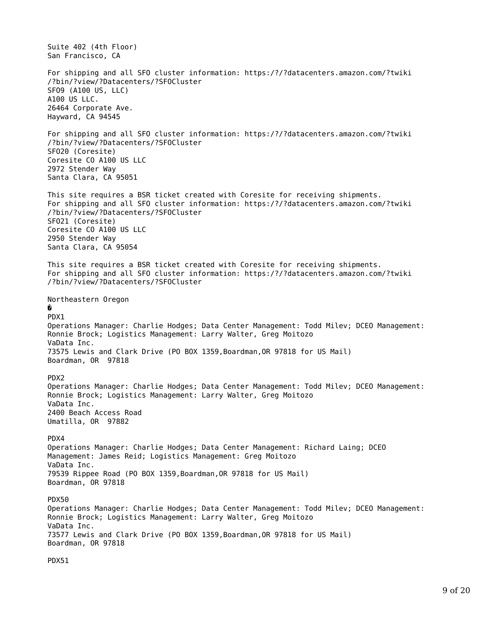Suite 402 (4th Floor) San Francisco, CA For shipping and all SFO cluster information: https:/?/?datacenters.amazon.com/?twiki /?bin/?view/?Datacenters/?SFOCluster SFO9 (A100 US, LLC) A100 US LLC. 26464 Corporate Ave. Hayward, CA 94545 For shipping and all SFO cluster information: https:/?/?datacenters.amazon.com/?twiki /?bin/?view/?Datacenters/?SFOCluster SFO20 (Coresite) Coresite CO A100 US LLC 2972 Stender Way Santa Clara, CA 95051 This site requires a BSR ticket created with Coresite for receiving shipments. For shipping and all SFO cluster information: https:/?/?datacenters.amazon.com/?twiki /?bin/?view/?Datacenters/?SFOCluster SFO21 (Coresite) Coresite CO A100 US LLC 2950 Stender Way Santa Clara, CA 95054 This site requires a BSR ticket created with Coresite for receiving shipments. For shipping and all SFO cluster information: https:/?/?datacenters.amazon.com/?twiki /?bin/?view/?Datacenters/?SFOCluster Northeastern Oregon � PDX1 Operations Manager: Charlie Hodges; Data Center Management: Todd Milev; DCEO Management: Ronnie Brock; Logistics Management: Larry Walter, Greg Moitozo VaData Inc. 73575 Lewis and Clark Drive (PO BOX 1359,Boardman,OR 97818 for US Mail) Boardman, OR 97818 PDX2 Operations Manager: Charlie Hodges; Data Center Management: Todd Milev; DCEO Management: Ronnie Brock; Logistics Management: Larry Walter, Greg Moitozo VaData Inc. 2400 Beach Access Road Umatilla, OR 97882 PDX4 Operations Manager: Charlie Hodges; Data Center Management: Richard Laing; DCEO Management: James Reid; Logistics Management: Greg Moitozo VaData Inc. 79539 Rippee Road (PO BOX 1359,Boardman,OR 97818 for US Mail) Boardman, OR 97818 PDX50 Operations Manager: Charlie Hodges; Data Center Management: Todd Milev; DCEO Management: Ronnie Brock; Logistics Management: Larry Walter, Greg Moitozo VaData Inc. 73577 Lewis and Clark Drive (PO BOX 1359,Boardman,OR 97818 for US Mail) Boardman, OR 97818

PDX51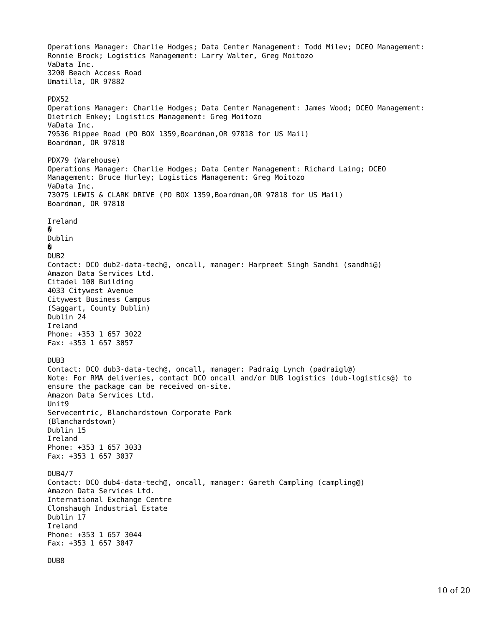Operations Manager: Charlie Hodges; Data Center Management: Todd Milev; DCEO Management: Ronnie Brock; Logistics Management: Larry Walter, Greg Moitozo VaData Inc. 3200 Beach Access Road Umatilla, OR 97882 PDX52 Operations Manager: Charlie Hodges; Data Center Management: James Wood; DCEO Management: Dietrich Enkey; Logistics Management: Greg Moitozo VaData Inc. 79536 Rippee Road (PO BOX 1359,Boardman,OR 97818 for US Mail) Boardman, OR 97818 PDX79 (Warehouse) Operations Manager: Charlie Hodges; Data Center Management: Richard Laing; DCEO Management: Bruce Hurley; Logistics Management: Greg Moitozo VaData Inc. 73075 LEWIS & CLARK DRIVE (PO BOX 1359,Boardman,OR 97818 for US Mail) Boardman, OR 97818 Ireland � Dublin � DUB2 Contact: DCO dub2-data-tech@, oncall, manager: Harpreet Singh Sandhi (sandhi@) Amazon Data Services Ltd. Citadel 100 Building 4033 Citywest Avenue Citywest Business Campus (Saggart, County Dublin) Dublin 24 Ireland Phone: +353 1 657 3022 Fax: +353 1 657 3057 DUB3 Contact: DCO dub3-data-tech@, oncall, manager: Padraig Lynch (padraigl@) Note: For RMA deliveries, contact DCO oncall and/or DUB logistics (dub-logistics@) to ensure the package can be received on-site. Amazon Data Services Ltd. Unit9 Servecentric, Blanchardstown Corporate Park (Blanchardstown) Dublin 15 Ireland Phone: +353 1 657 3033 Fax: +353 1 657 3037 DUB4/7 Contact: DCO dub4-data-tech@, oncall, manager: Gareth Campling (campling@) Amazon Data Services Ltd. International Exchange Centre Clonshaugh Industrial Estate Dublin 17 Ireland Phone: +353 1 657 3044 Fax: +353 1 657 3047

DUB8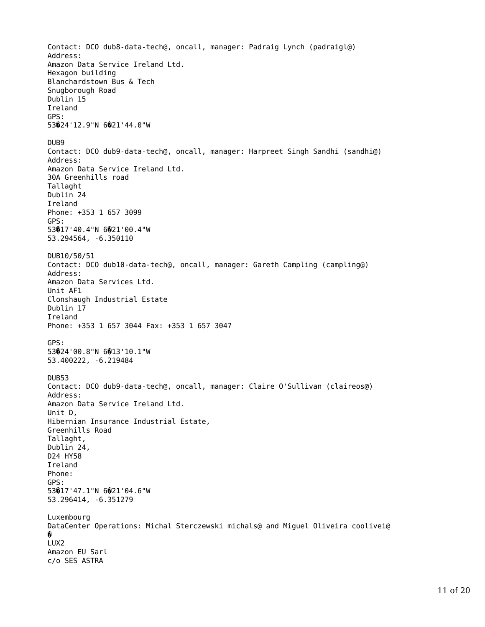Contact: DCO dub8-data-tech@, oncall, manager: Padraig Lynch (padraigl@) Address: Amazon Data Service Ireland Ltd. Hexagon building Blanchardstown Bus & Tech Snugborough Road Dublin 15 Ireland GPS: 53�24'12.9"N 6�21'44.0"W DUB9 Contact: DCO dub9-data-tech@, oncall, manager: Harpreet Singh Sandhi (sandhi@) Address: Amazon Data Service Ireland Ltd. 30A Greenhills road Tallaght Dublin 24 Ireland Phone: +353 1 657 3099 GPS: 53�17'40.4"N 6�21'00.4"W 53.294564, -6.350110 DUB10/50/51 Contact: DCO dub10-data-tech@, oncall, manager: Gareth Campling (campling@) Address: Amazon Data Services Ltd. Unit AF1 Clonshaugh Industrial Estate Dublin 17 Ireland Phone: +353 1 657 3044 Fax: +353 1 657 3047 GPS: 53�24'00.8"N 6�13'10.1"W 53.400222, -6.219484 DUB53 Contact: DCO dub9-data-tech@, oncall, manager: Claire O'Sullivan (claireos@) Address: Amazon Data Service Ireland Ltd. Unit D, Hibernian Insurance Industrial Estate, Greenhills Road Tallaght, Dublin 24, D24 HY58 Ireland Phone: GPS: 53�17'47.1"N 6�21'04.6"W 53.296414, -6.351279 Luxembourg DataCenter Operations: Michal Sterczewski michals@ and Miguel Oliveira coolivei@ � LUX2 Amazon EU Sarl c/o SES ASTRA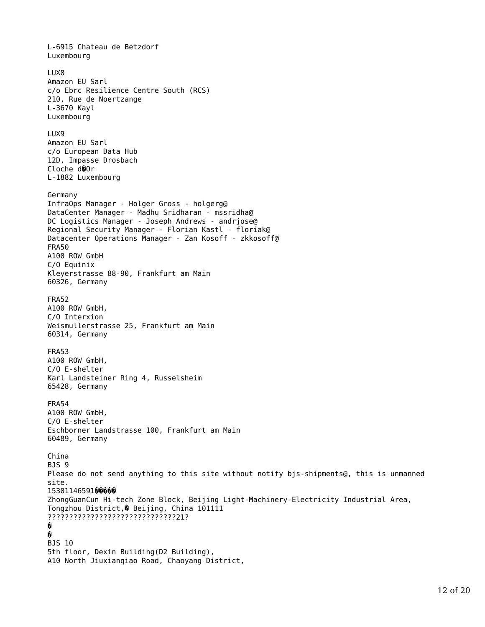L-6915 Chateau de Betzdorf Luxembourg LUX8 Amazon EU Sarl c/o Ebrc Resilience Centre South (RCS) 210, Rue de Noertzange L-3670 Kayl Luxembourg LUX9 Amazon EU Sarl c/o European Data Hub 12D, Impasse Drosbach Cloche d�Or L-1882 Luxembourg Germany InfraOps Manager - Holger Gross - holgerg@ DataCenter Manager - Madhu Sridharan - mssridha@ DC Logistics Manager - Joseph Andrews - andrjose@ Regional Security Manager - Florian Kastl - floriak@ Datacenter Operations Manager - Zan Kosoff - zkkosoff@ FRA50 A100 ROW GmbH C/O Equinix Kleyerstrasse 88-90, Frankfurt am Main 60326, Germany FRA52 A100 ROW GmbH, C/O Interxion Weismullerstrasse 25, Frankfurt am Main 60314, Germany FRA53 A100 ROW GmbH, C/O E-shelter Karl Landsteiner Ring 4, Russelsheim 65428, Germany FRA54 A100 ROW GmbH, C/O E-shelter Eschborner Landstrasse 100, Frankfurt am Main 60489, Germany China BJS 9 Please do not send anything to this site without notify bjs-shipments@, this is unmanned site. 153011465910000 ZhongGuanCun Hi-tech Zone Block, Beijing Light-Machinery-Electricity Industrial Area, Tongzhou District,� Beijing, China 101111 ??????????????????????????????21? � � BJS 10 5th floor, Dexin Building(D2 Building), A10 North Jiuxianqiao Road, Chaoyang District,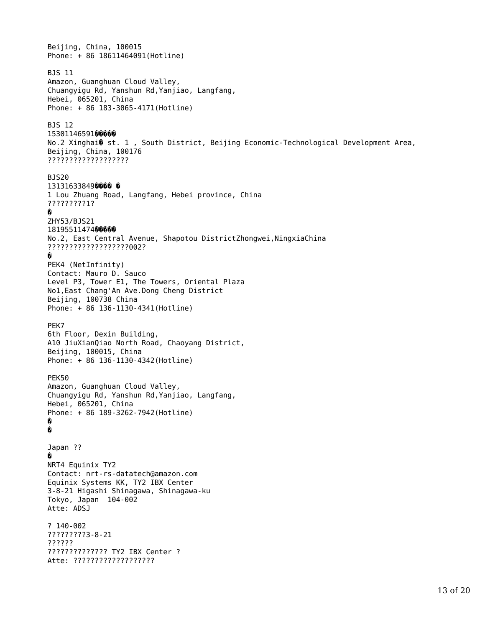Beijing, China, 100015 Phone: + 86 18611464091(Hotline) BJS 11 Amazon, Guanghuan Cloud Valley, Chuangyigu Rd, Yanshun Rd,Yanjiao, Langfang, Hebei, 065201, China Phone: + 86 183-3065-4171(Hotline) BJS 12 15301146591**00000** No.2 Xinghai� st. 1 , South District, Beijing Economic-Technological Development Area, Beijing, China, 100176 ??????????????????? BJS20 131316338490000 0 1 Lou Zhuang Road, Langfang, Hebei province, China ?????????1? � ZHY53/BJS21 1819551147400000 No.2, East Central Avenue, Shapotou DistrictZhongwei,NingxiaChina ???????????????????002? � PEK4 (NetInfinity) Contact: Mauro D. Sauco Level P3, Tower E1, The Towers, Oriental Plaza No1,East Chang'An Ave.Dong Cheng District Beijing, 100738 China Phone: + 86 136-1130-4341(Hotline) PEK7 6th Floor, Dexin Building, A10 JiuXianQiao North Road, Chaoyang District, Beijing, 100015, China Phone: + 86 136-1130-4342(Hotline) PEK50 Amazon, Guanghuan Cloud Valley, Chuangyigu Rd, Yanshun Rd,Yanjiao, Langfang, Hebei, 065201, China Phone: + 86 189-3262-7942(Hotline) � � Japan ?? � NRT4 Equinix TY2 Contact: nrt-rs-datatech@amazon.com Equinix Systems KK, TY2 IBX Center 3-8-21 Higashi Shinagawa, Shinagawa-ku Tokyo, Japan 104-002 Atte: ADSJ ? 140-002 ?????????3-8-21 ?????? ?????????????? TY2 IBX Center ? Atte: ???????????????????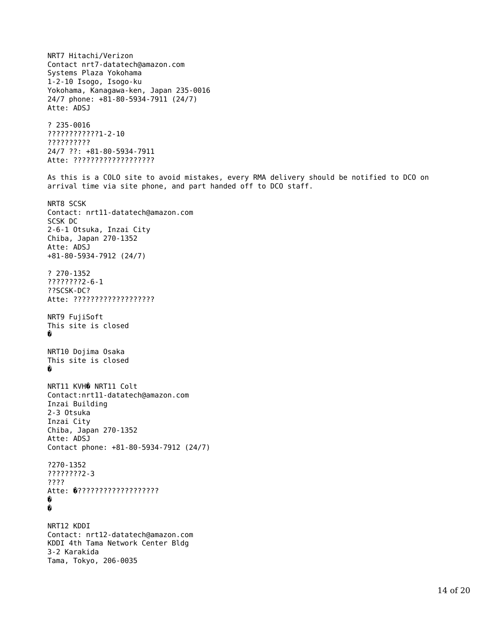NRT7 Hitachi/Verizon Contact nrt7-datatech@amazon.com Systems Plaza Yokohama 1-2-10 Isogo, Isogo-ku Yokohama, Kanagawa-ken, Japan 235-0016 24/7 phone: +81-80-5934-7911 (24/7) Atte: ADSJ ? 235-0016 ????????????1-2-10 ?????????? 24/7 ??: +81-80-5934-7911 Atte: ??????????????????? As this is a COLO site to avoid mistakes, every RMA delivery should be notified to DCO on arrival time via site phone, and part handed off to DCO staff. NRT8 SCSK Contact: nrt11-datatech@amazon.com SCSK DC 2-6-1 Otsuka, Inzai City Chiba, Japan 270-1352 Atte: ADSJ +81-80-5934-7912 (24/7) ? 270-1352 ????????2-6-1 ??SCSK-DC? Atte: ??????????????????? NRT9 FujiSoft This site is closed � NRT10 Dojima Osaka This site is closed � NRT11 KVH� NRT11 Colt Contact:nrt11-datatech@amazon.com Inzai Building 2-3 Otsuka Inzai City Chiba, Japan 270-1352 Atte: ADSJ Contact phone: +81-80-5934-7912 (24/7) ?270-1352 ????????2-3 ???? Atte: �??????????????????? � � NRT12 KDDI Contact: nrt12-datatech@amazon.com KDDI 4th Tama Network Center Bldg 3-2 Karakida Tama, Tokyo, 206-0035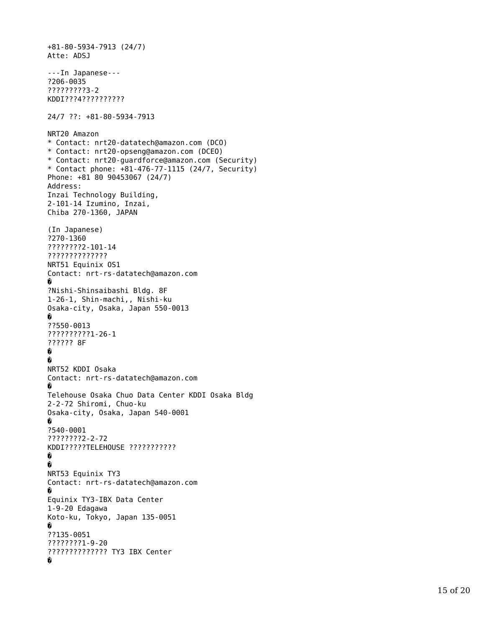```
+81-80-5934-7913 (24/7)
Atte: ADSJ
---In Japanese---
?206-0035
?????????3-2
KDDI???4??????????
24/7 ??: +81-80-5934-7913
NRT20 Amazon 
* Contact: nrt20-datatech@amazon.com (DCO) 
* Contact: nrt20-opseng@amazon.com (DCEO)
* Contact: nrt20-guardforce@amazon.com (Security)
* Contact phone: +81-476-77-1115 (24/7, Security)
Phone: +81 80 90453067 (24/7)
Address:
Inzai Technology Building,
2-101-14 Izumino, Inzai,
Chiba 270-1360, JAPAN
(In Japanese)
?270-1360
????????2-101-14
??????????????
NRT51 Equinix OS1
Contact: nrt-rs-datatech@amazon.com �
?Nishi-Shinsaibashi Bldg. 8F
1-26-1, Shin-machi,, Nishi-ku
Osaka-city, Osaka, Japan 550-0013 �
??550-0013
??????????1-26-1
?????? 8F �<br>Q
NRT52 KDDI Osaka
Contact: nrt-rs-datatech@amazon.com �
Telehouse Osaka Chuo Data Center KDDI Osaka Bldg
2-2-72 Shiromi, Chuo-ku
Osaka-city, Osaka, Japan 540-0001 �
?540-0001
????????2-2-72
KDDI?????TELEHOUSE ??????????? �<br>��
NRT53 Equinix TY3
Contact: nrt-rs-datatech@amazon.com �
Equinix TY3-IBX Data Center
1-9-20 Edagawa
Koto-ku, Tokyo, Japan 135-0051 �
??135-0051
????????1-9-20
?????????????? TY3 IBX Center �
```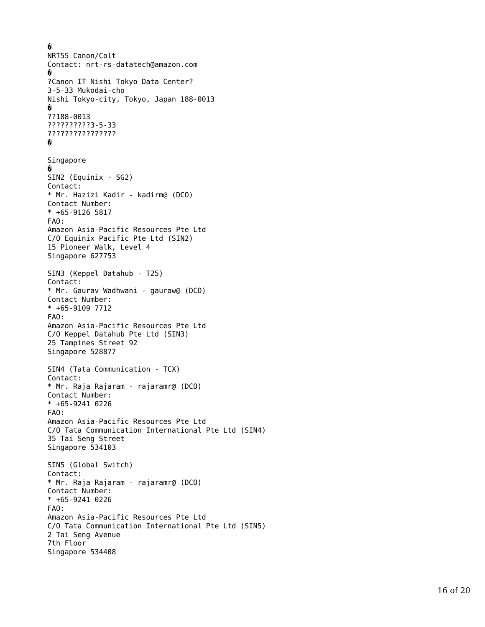```
�
NRT55 Canon/Colt
Contact: nrt-rs-datatech@amazon.com �
?Canon IT Nishi Tokyo Data Center?
3-5-33 Mukodai-cho
Nishi Tokyo-city, Tokyo, Japan 188-0013 �
??188-0013
??????????3-5-33
???????????????? �
Singapore �
SIN2 (Equinix - SG2) 
Contact:
* Mr. Hazizi Kadir - kadirm@ (DCO)
Contact Number:
* +65-91265917FAO:
Amazon Asia-Pacific Resources Pte Ltd
C/O Equinix Pacific Pte Ltd (SIN2)
15 Pioneer Walk, Level 4
Singapore 627753
SIN3 (Keppel Datahub - T25) 
Contact:
* Mr. Gaurav Wadhwani - gauraw@ (DCO)
Contact Number:
* +65-9109 7712
FAO:
Amazon Asia-Pacific Resources Pte Ltd
C/O Keppel Datahub Pte Ltd (SIN3)
25 Tampines Street 92
Singapore 528877
SIN4 (Tata Communication - TCX) 
Contact:
* Mr. Raja Rajaram - rajaramr@ (DCO)
Contact Number:
* +65-9241 0226
FAO:
Amazon Asia-Pacific Resources Pte Ltd
C/O Tata Communication International Pte Ltd (SIN4)
35 Tai Seng Street
Singapore 534103
SIN5 (Global Switch) 
Contact:
* Mr. Raja Rajaram - rajaramr@ (DCO)
Contact Number:
* +65-9241 0226
FAO:
Amazon Asia-Pacific Resources Pte Ltd
C/O Tata Communication International Pte Ltd (SIN5)
2 Tai Seng Avenue
7th Floor
Singapore 534408
```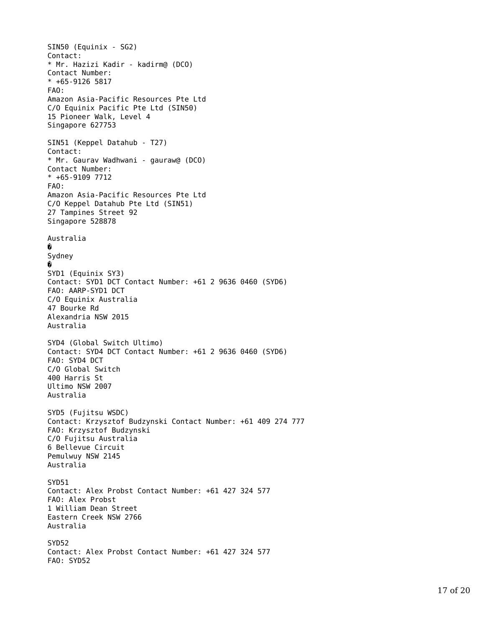SIN50 (Equinix - SG2) Contact: \* Mr. Hazizi Kadir - kadirm@ (DCO) Contact Number:  $* +65-91265917$ FAO: Amazon Asia-Pacific Resources Pte Ltd C/O Equinix Pacific Pte Ltd (SIN50) 15 Pioneer Walk, Level 4 Singapore 627753 SIN51 (Keppel Datahub - T27) Contact: \* Mr. Gaurav Wadhwani - gauraw@ (DCO) Contact Number: \* +65-9109 7712 FAO: Amazon Asia-Pacific Resources Pte Ltd C/O Keppel Datahub Pte Ltd (SIN51) 27 Tampines Street 92 Singapore 528878 Australia � Sydney � SYD1 (Equinix SY3) Contact: SYD1 DCT Contact Number: +61 2 9636 0460 (SYD6) FAO: AARP-SYD1 DCT C/O Equinix Australia 47 Bourke Rd Alexandria NSW 2015 Australia SYD4 (Global Switch Ultimo) Contact: SYD4 DCT Contact Number: +61 2 9636 0460 (SYD6) FAO: SYD4 DCT C/O Global Switch 400 Harris St Ultimo NSW 2007 Australia SYD5 (Fujitsu WSDC) Contact: Krzysztof Budzynski Contact Number: +61 409 274 777 FAO: Krzysztof Budzynski C/O Fujitsu Australia 6 Bellevue Circuit Pemulwuy NSW 2145 Australia SYD51 Contact: Alex Probst Contact Number: +61 427 324 577 FAO: Alex Probst 1 William Dean Street Eastern Creek NSW 2766 Australia SYD52 Contact: Alex Probst Contact Number: +61 427 324 577 FAO: SYD52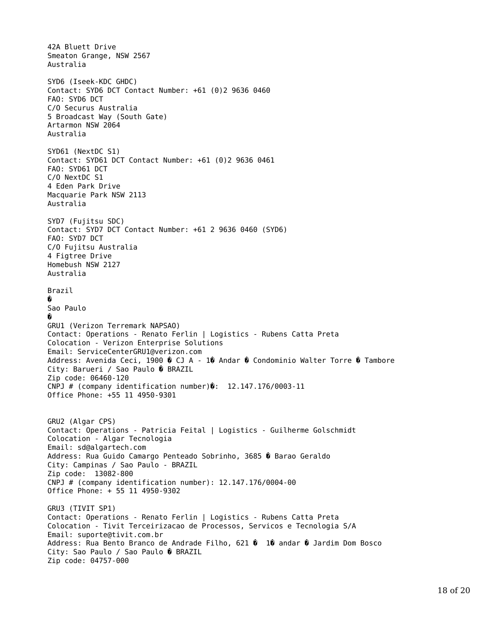42A Bluett Drive Smeaton Grange, NSW 2567 Australia SYD6 (Iseek-KDC GHDC) Contact: SYD6 DCT Contact Number: +61 (0)2 9636 0460 FAO: SYD6 DCT C/O Securus Australia 5 Broadcast Way (South Gate) Artarmon NSW 2064 Australia SYD61 (NextDC S1) Contact: SYD61 DCT Contact Number: +61 (0)2 9636 0461 FAO: SYD61 DCT C/O NextDC S1 4 Eden Park Drive Macquarie Park NSW 2113 Australia SYD7 (Fujitsu SDC) Contact: SYD7 DCT Contact Number: +61 2 9636 0460 (SYD6) FAO: SYD7 DCT C/O Fujitsu Australia 4 Figtree Drive Homebush NSW 2127 Australia Brazil � Sao Paulo � GRU1 (Verizon Terremark NAPSAO) Contact: Operations - Renato Ferlin | Logistics - Rubens Catta Preta Colocation - Verizon Enterprise Solutions Email: ServiceCenterGRU1@verizon.com Address: Avenida Ceci, 1900 � CJ A - 1� Andar � Condominio Walter Torre � Tambore City: Barueri / Sao Paulo � BRAZIL Zip code: 06460-120 CNPJ # (company identification number) $\hat{\mathbf{v}}$ : 12.147.176/0003-11 Office Phone: +55 11 4950-9301 GRU2 (Algar CPS) Contact: Operations - Patricia Feital | Logistics - Guilherme Golschmidt Colocation - Algar Tecnologia Email: sd@algartech.com Address: Rua Guido Camargo Penteado Sobrinho, 3685 � Barao Geraldo City: Campinas / Sao Paulo - BRAZIL Zip code: 13082-800 CNPJ # (company identification number): 12.147.176/0004-00 Office Phone: + 55 11 4950-9302 GRU3 (TIVIT SP1) Contact: Operations - Renato Ferlin | Logistics - Rubens Catta Preta Colocation - Tivit Terceirizacao de Processos, Servicos e Tecnologia S/A Email: suporte@tivit.com.br Address: Rua Bento Branco de Andrade Filho, 621  $\hat{v}$  10 andar  $\hat{v}$  Jardim Dom Bosco City: Sao Paulo / Sao Paulo � BRAZIL Zip code: 04757-000